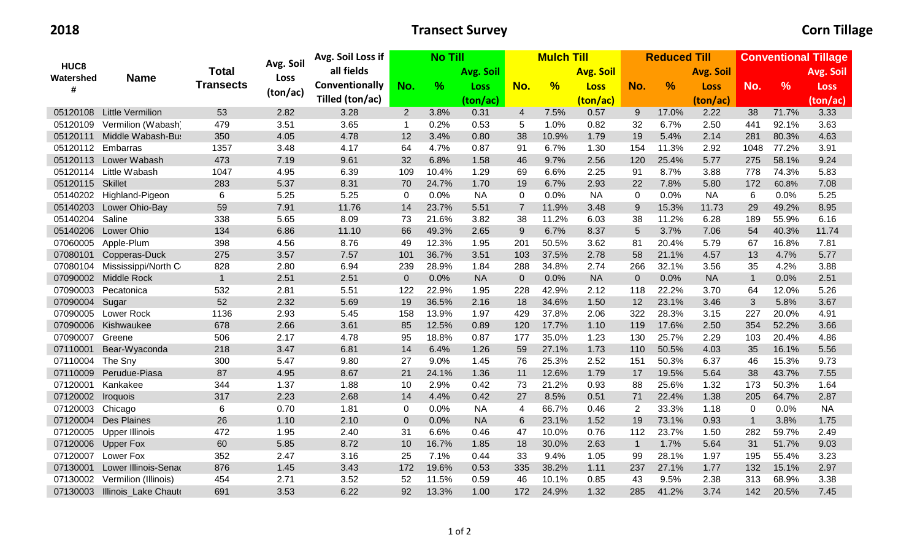## **2018 Transect Survey Corn Tillage**

|                                    | <b>Name</b>             | <b>Total</b><br><b>Transects</b> | Avg. Soil<br><b>Loss</b> | Avg. Soil Loss if |             |       | <b>No Till</b>   |                | <b>Mulch Till</b> |             |              | <b>Reduced Till</b> |             |                | <b>Conventional Tillage</b> |             |  |
|------------------------------------|-------------------------|----------------------------------|--------------------------|-------------------|-------------|-------|------------------|----------------|-------------------|-------------|--------------|---------------------|-------------|----------------|-----------------------------|-------------|--|
| HUC <sub>8</sub><br>Watershed<br># |                         |                                  |                          | all fields        |             |       | <b>Avg. Soil</b> |                | <b>Avg. Soil</b>  |             |              | <b>Avg. Soil</b>    |             |                | Avg. Soil                   |             |  |
|                                    |                         |                                  |                          | Conventionally    | No.         | $\%$  | <b>Loss</b>      | No.            | %                 | <b>Loss</b> | No.          | %                   | <b>Loss</b> | No.            | $\frac{9}{6}$               | <b>Loss</b> |  |
|                                    |                         |                                  | (ton/ac)                 | Tilled (ton/ac)   |             |       | (ton/ac)         |                |                   | (ton/ac)    |              |                     | (ton/ac)    |                |                             | (ton/ac)    |  |
| 05120108                           | <b>Little Vermilion</b> | 53                               | 2.82                     | 3.28              | 2           | 3.8%  | 0.31             | 4              | 7.5%              | 0.57        | 9            | 17.0%               | 2.22        | 38             | 71.7%                       | 3.33        |  |
| 05120109                           | Vermilion (Wabash)      | 479                              | 3.51                     | 3.65              | $\mathbf 1$ | 0.2%  | 0.53             | 5              | 1.0%              | 0.82        | 32           | 6.7%                | 2.50        | 441            | 92.1%                       | 3.63        |  |
| 05120111                           | Middle Wabash-Bus       | 350                              | 4.05                     | 4.78              | 12          | 3.4%  | 0.80             | 38             | 10.9%             | 1.79        | 19           | 5.4%                | 2.14        | 281            | 80.3%                       | 4.63        |  |
| 05120112 Embarras                  |                         | 1357                             | 3.48                     | 4.17              | 64          | 4.7%  | 0.87             | 91             | 6.7%              | 1.30        | 154          | 11.3%               | 2.92        | 1048           | 77.2%                       | 3.91        |  |
|                                    | 05120113 Lower Wabash   | 473                              | 7.19                     | 9.61              | 32          | 6.8%  | 1.58             | 46             | 9.7%              | 2.56        | 120          | 25.4%               | 5.77        | 275            | 58.1%                       | 9.24        |  |
| 05120114                           | Little Wabash           | 1047                             | 4.95                     | 6.39              | 109         | 10.4% | 1.29             | 69             | 6.6%              | 2.25        | 91           | 8.7%                | 3.88        | 778            | 74.3%                       | 5.83        |  |
| 05120115 Skillet                   |                         | 283                              | 5.37                     | 8.31              | 70          | 24.7% | 1.70             | 19             | 6.7%              | 2.93        | 22           | 7.8%                | 5.80        | 172            | 60.8%                       | 7.08        |  |
| 05140202                           | Highland-Pigeon         | 6                                | 5.25                     | 5.25              | 0           | 0.0%  | <b>NA</b>        | $\Omega$       | 0.0%              | <b>NA</b>   | $\Omega$     | 0.0%                | <b>NA</b>   | 6              | 0.0%                        | 5.25        |  |
| 05140203                           | Lower Ohio-Bay          | 59                               | 7.91                     | 11.76             | 14          | 23.7% | 5.51             | $\overline{7}$ | 11.9%             | 3.48        | 9            | 15.3%               | 11.73       | 29             | 49.2%                       | 8.95        |  |
| 05140204                           | Saline                  | 338                              | 5.65                     | 8.09              | 73          | 21.6% | 3.82             | 38             | 11.2%             | 6.03        | 38           | 11.2%               | 6.28        | 189            | 55.9%                       | 6.16        |  |
| 05140206                           | Lower Ohio              | 134                              | 6.86                     | 11.10             | 66          | 49.3% | 2.65             | 9              | 6.7%              | 8.37        | 5            | 3.7%                | 7.06        | 54             | 40.3%                       | 11.74       |  |
| 07060005                           | Apple-Plum              | 398                              | 4.56                     | 8.76              | 49          | 12.3% | 1.95             | 201            | 50.5%             | 3.62        | 81           | 20.4%               | 5.79        | 67             | 16.8%                       | 7.81        |  |
| 07080101                           | Copperas-Duck           | 275                              | 3.57                     | 7.57              | 101         | 36.7% | 3.51             | 103            | 37.5%             | 2.78        | 58           | 21.1%               | 4.57        | 13             | 4.7%                        | 5.77        |  |
| 07080104                           | Mississippi/North C     | 828                              | 2.80                     | 6.94              | 239         | 28.9% | 1.84             | 288            | 34.8%             | 2.74        | 266          | 32.1%               | 3.56        | 35             | 4.2%                        | 3.88        |  |
| 07090002                           | Middle Rock             | $\mathbf{1}$                     | 2.51                     | 2.51              | $\Omega$    | 0.0%  | <b>NA</b>        | $\Omega$       | 0.0%              | <b>NA</b>   | $\Omega$     | 0.0%                | <b>NA</b>   | $\overline{1}$ | 0.0%                        | 2.51        |  |
| 07090003                           | Pecatonica              | 532                              | 2.81                     | 5.51              | 122         | 22.9% | 1.95             | 228            | 42.9%             | 2.12        | 118          | 22.2%               | 3.70        | 64             | 12.0%                       | 5.26        |  |
| 07090004                           | Sugar                   | 52                               | 2.32                     | 5.69              | 19          | 36.5% | 2.16             | 18             | 34.6%             | 1.50        | 12           | 23.1%               | 3.46        | 3              | 5.8%                        | 3.67        |  |
| 07090005                           | <b>Lower Rock</b>       | 1136                             | 2.93                     | 5.45              | 158         | 13.9% | 1.97             | 429            | 37.8%             | 2.06        | 322          | 28.3%               | 3.15        | 227            | 20.0%                       | 4.91        |  |
| 07090006                           | Kishwaukee              | 678                              | 2.66                     | 3.61              | 85          | 12.5% | 0.89             | 120            | 17.7%             | 1.10        | 119          | 17.6%               | 2.50        | 354            | 52.2%                       | 3.66        |  |
| 07090007                           | Greene                  | 506                              | 2.17                     | 4.78              | 95          | 18.8% | 0.87             | 177            | 35.0%             | 1.23        | 130          | 25.7%               | 2.29        | 103            | 20.4%                       | 4.86        |  |
| 07110001                           | Bear-Wyaconda           | 218                              | 3.47                     | 6.81              | 14          | 6.4%  | 1.26             | 59             | 27.1%             | 1.73        | 110          | 50.5%               | 4.03        | 35             | 16.1%                       | 5.56        |  |
| 07110004                           | The Sny                 | 300                              | 5.47                     | 9.80              | 27          | 9.0%  | 1.45             | 76             | 25.3%             | 2.52        | 151          | 50.3%               | 6.37        | 46             | 15.3%                       | 9.73        |  |
| 07110009                           | Perudue-Piasa           | 87                               | 4.95                     | 8.67              | 21          | 24.1% | 1.36             | 11             | 12.6%             | 1.79        | 17           | 19.5%               | 5.64        | 38             | 43.7%                       | 7.55        |  |
| 07120001                           | Kankakee                | 344                              | 1.37                     | 1.88              | 10          | 2.9%  | 0.42             | 73             | 21.2%             | 0.93        | 88           | 25.6%               | 1.32        | 173            | 50.3%                       | 1.64        |  |
| 07120002                           | <b>Iroquois</b>         | 317                              | 2.23                     | 2.68              | 14          | 4.4%  | 0.42             | 27             | 8.5%              | 0.51        | 71           | 22.4%               | 1.38        | 205            | 64.7%                       | 2.87        |  |
| 07120003                           | Chicago                 | 6                                | 0.70                     | 1.81              | 0           | 0.0%  | <b>NA</b>        | 4              | 66.7%             | 0.46        | 2            | 33.3%               | 1.18        | $\Omega$       | 0.0%                        | <b>NA</b>   |  |
| 07120004                           | <b>Des Plaines</b>      | 26                               | 1.10                     | 2.10              | $\Omega$    | 0.0%  | <b>NA</b>        | 6              | 23.1%             | 1.52        | 19           | 73.1%               | 0.93        | $\overline{1}$ | 3.8%                        | 1.75        |  |
| 07120005                           | <b>Upper Illinois</b>   | 472                              | 1.95                     | 2.40              | 31          | 6.6%  | 0.46             | 47             | 10.0%             | 0.76        | 112          | 23.7%               | 1.50        | 282            | 59.7%                       | 2.49        |  |
| 07120006                           | <b>Upper Fox</b>        | 60                               | 5.85                     | 8.72              | 10          | 16.7% | 1.85             | 18             | 30.0%             | 2.63        | $\mathbf{1}$ | 1.7%                | 5.64        | 31             | 51.7%                       | 9.03        |  |
| 07120007                           | Lower Fox               | 352                              | 2.47                     | 3.16              | 25          | 7.1%  | 0.44             | 33             | 9.4%              | 1.05        | 99           | 28.1%               | 1.97        | 195            | 55.4%                       | 3.23        |  |
| 07130001                           | Lower Illinois-Senad    | 876                              | 1.45                     | 3.43              | 172         | 19.6% | 0.53             | 335            | 38.2%             | 1.11        | 237          | 27.1%               | 1.77        | 132            | 15.1%                       | 2.97        |  |
| 07130002                           | Vermilion (Illinois)    | 454                              | 2.71                     | 3.52              | 52          | 11.5% | 0.59             | 46             | 10.1%             | 0.85        | 43           | 9.5%                | 2.38        | 313            | 68.9%                       | 3.38        |  |
| 07130003                           | Illinois Lake Chaute    | 691                              | 3.53                     | 6.22              | 92          | 13.3% | 1.00             | 172            | 24.9%             | 1.32        | 285          | 41.2%               | 3.74        | 142            | 20.5%                       | 7.45        |  |